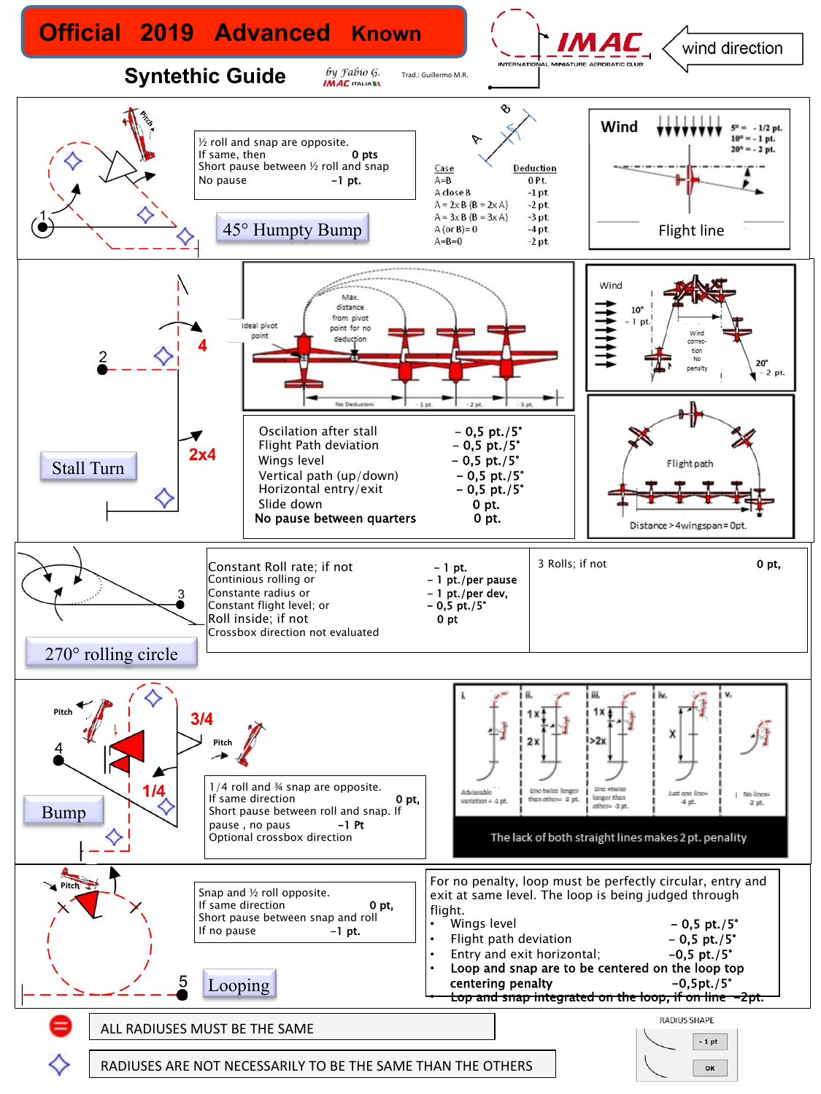